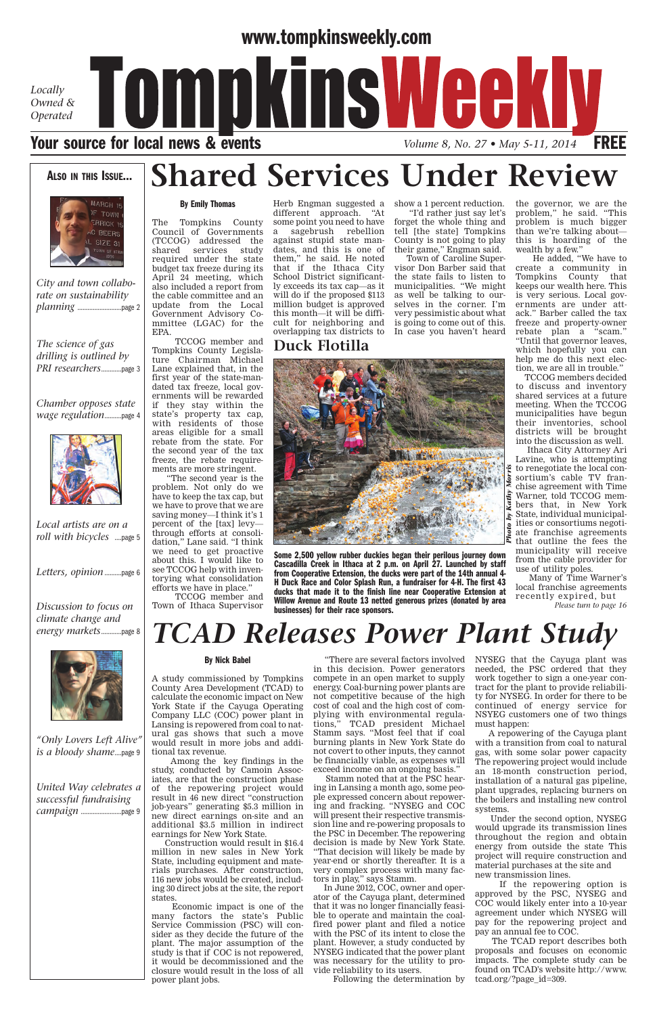## **www.tompkinsweekly.com**

*Locally Owned & Operated*



**Shared Services Under Review** 

### **ALSO IN THIS ISSUE…**



*City and town collaborate on sustainability planning* ..........................page 2

## **By Emily Thomas**

The Tompkins County Council of Governments (TCCOG) addressed the shared services study required under the state budget tax freeze during its April 24 meeting, which also included a report from the cable committee and an update from the Local Government Advisory Committee (LGAC) for the EPA.

Herb Engman suggested a different approach. "At some point you need to have a sagebrush rebellion against stupid state mandates, and this is one of them," he said. He noted that if the Ithaca City School District significantly exceeds its tax cap—as it will do if the proposed \$113 million budget is approved this month—it will be difficult for neighboring and overlapping tax districts to

show a 1 percent reduction.

"I'd rather just say let's forget the whole thing and tell [the state] Tompkins County is not going to play their game," Engman said.

Town of Caroline Supervisor Don Barber said that the state fails to listen to municipalities. "We might as well be talking to ourselves in the corner. I'm very pessimistic about what is going to come out of this. In case you haven't heard the governor, we are the problem," he said. "This problem is much bigger than we're talking about this is hoarding of the wealth by a few."

He added, "We have to create a community in Tompkins County that keeps our wealth here. This is very serious. Local governments are under attack." Barber called the tax freeze and property-owner rebate plan a "scam."

that the continuum continuum continuum continuum continuum continuum continuum continuum continuum continuum co